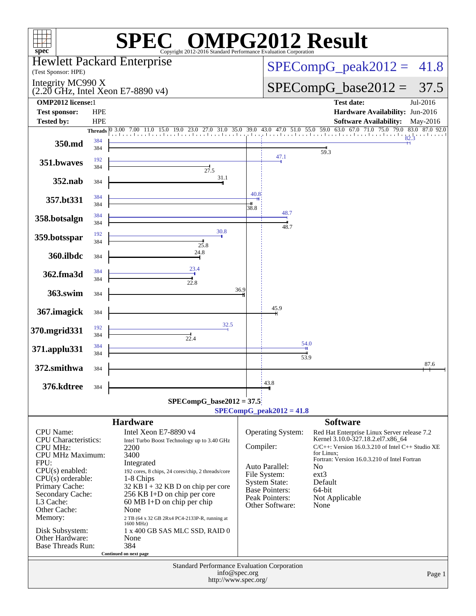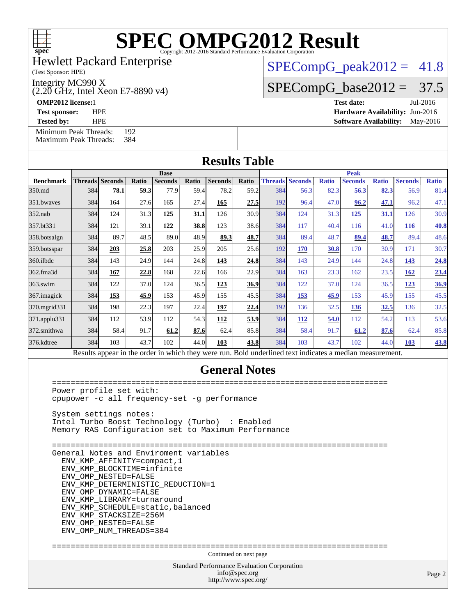

#### Hewlett Packard Enterprise

(Test Sponsor: HPE)

Integrity MC990 X

(2.20 GHz, Intel Xeon E7-8890 v4)

 $SPECompG_peak2012 = 41.8$  $SPECompG_peak2012 = 41.8$ 

 $SPECompG_base2012 = 37.5$  $SPECompG_base2012 = 37.5$ 

**[OMP2012 license:](http://www.spec.org/auto/omp2012/Docs/result-fields.html#OMP2012license)**1 **[Test date:](http://www.spec.org/auto/omp2012/Docs/result-fields.html#Testdate)** Jul-2016 **[Test sponsor:](http://www.spec.org/auto/omp2012/Docs/result-fields.html#Testsponsor)** HPE **[Hardware Availability:](http://www.spec.org/auto/omp2012/Docs/result-fields.html#HardwareAvailability)** Jun-2016

**[Tested by:](http://www.spec.org/auto/omp2012/Docs/result-fields.html#Testedby)** HPE **[Software Availability:](http://www.spec.org/auto/omp2012/Docs/result-fields.html#SoftwareAvailability)** May-2016

[Minimum Peak Threads:](http://www.spec.org/auto/omp2012/Docs/result-fields.html#MinimumPeakThreads) 192<br>Maximum Peak Threads: 384 [Maximum Peak Threads:](http://www.spec.org/auto/omp2012/Docs/result-fields.html#MaximumPeakThreads)

| <b>Results Table</b> |                        |      |       |                |       |                |       |     |                        |              |                |              |                |              |
|----------------------|------------------------|------|-------|----------------|-------|----------------|-------|-----|------------------------|--------------|----------------|--------------|----------------|--------------|
|                      | <b>Base</b>            |      |       |                |       | <b>Peak</b>    |       |     |                        |              |                |              |                |              |
| <b>Benchmark</b>     | <b>Threads Seconds</b> |      | Ratio | <b>Seconds</b> | Ratio | <b>Seconds</b> | Ratio |     | <b>Threads Seconds</b> | <b>Ratio</b> | <b>Seconds</b> | <b>Ratio</b> | <b>Seconds</b> | <b>Ratio</b> |
| 350.md               | 384                    | 78.1 | 59.3  | 77.9           | 59.4  | 78.2           | 59.2  | 384 | 56.3                   | 82.3         | 56.3           | 82.3         | 56.9           | 81.4         |
| 351.bwayes           | 384                    | 164  | 27.6  | 165            | 27.4  | 165            | 27.5  | 192 | 96.4                   | 47.0         | 96.2           | 47.1         | 96.2           | 47.1         |
| 352.nab              | 384                    | 124  | 31.3  | 125            | 31.1  | 126            | 30.9  | 384 | 124                    | 31.3         | 125            | 31.1         | 126            | 30.9         |
| 357.bt331            | 384                    | 121  | 39.1  | 122            | 38.8  | 123            | 38.6  | 384 | 117                    | 40.4         | 116            | 41.0         | <b>116</b>     | <b>40.8</b>  |
| 358.botsalgn         | 384                    | 89.7 | 48.5  | 89.0           | 48.9  | 89.3           | 48.7  | 384 | 89.4                   | 48.7         | 89.4           | 48.7         | 89.4           | 48.6         |
| 359.botsspar         | 384                    | 203  | 25.8  | 203            | 25.9  | 205            | 25.6  | 192 | 170                    | <b>30.8</b>  | 170            | 30.9         | 171            | 30.7         |
| 360.ilbdc            | 384                    | 143  | 24.9  | 144            | 24.8  | 143            | 24.8  | 384 | 143                    | 24.9         | 144            | 24.8         | 143            | 24.8         |
| 362.fma3d            | 384                    | 167  | 22.8  | 168            | 22.6  | 166            | 22.9  | 384 | 163                    | 23.3         | 162            | 23.5         | 162            | 23.4         |
| $363$ .swim          | 384                    | 122  | 37.0  | 124            | 36.5  | 123            | 36.9  | 384 | 122                    | 37.0         | 124            | 36.5         | 123            | 36.9         |
| 367.imagick          | 384                    | 153  | 45.9  | 153            | 45.9  | 155            | 45.5  | 384 | 153                    | 45.9         | 153            | 45.9         | 155            | 45.5         |
| 370.mgrid331         | 384                    | 198  | 22.3  | 197            | 22.4  | 197            | 22.4  | 192 | 136                    | 32.5         | 136            | 32.5         | 136            | 32.5         |
| 371.applu331         | 384                    | 112  | 53.9  | 112            | 54.3  | 112            | 53.9  | 384 | <b>112</b>             | 54.0         | 112            | 54.2         | 113            | 53.6         |
| 372.smithwa          | 384                    | 58.4 | 91.7  | 61.2           | 87.6  | 62.4           | 85.8  | 384 | 58.4                   | 91.7         | 61.2           | 87.6         | 62.4           | 85.8         |
| 376.kdtree           | 384                    | 103  | 43.7  | 102            | 44.0  | 103            | 43.8  | 384 | 103                    | 43.7         | 102            | 44.0         | <b>103</b>     | <b>43.8</b>  |

#### **[General Notes](http://www.spec.org/auto/omp2012/Docs/result-fields.html#GeneralNotes)**

Standard Performance Evaluation Corporation [info@spec.org](mailto:info@spec.org) <http://www.spec.org/> Page 2 ======================================================================== Power profile set with: cpupower -c all frequency-set -g performance System settings notes: Intel Turbo Boost Technology (Turbo) : Enabled Memory RAS Configuration set to Maximum Performance ======================================================================== General Notes and Enviroment variables ENV\_KMP\_AFFINITY=compact,1 ENV\_KMP\_BLOCKTIME=infinite ENV\_OMP\_NESTED=FALSE ENV\_KMP\_DETERMINISTIC\_REDUCTION=1 ENV\_OMP\_DYNAMIC=FALSE ENV\_KMP\_LIBRARY=turnaround ENV\_KMP\_SCHEDULE=static,balanced ENV\_KMP\_STACKSIZE=256M ENV\_OMP\_NESTED=FALSE ENV\_OMP\_NUM\_THREADS=384 ======================================================================== Continued on next page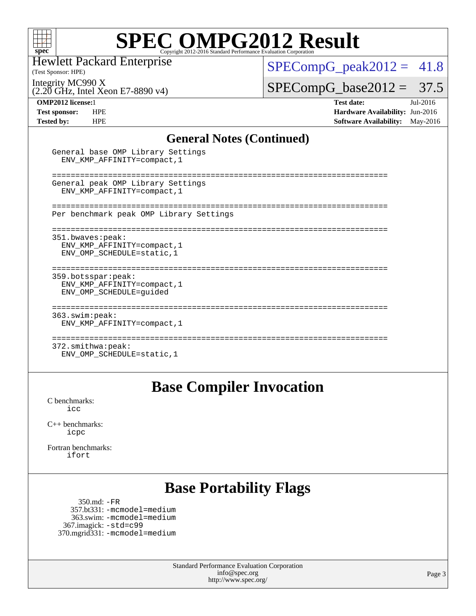

Hewlett Packard Enterprise

(Test Sponsor: HPE)

 $SPECompG_peak2012 = 41.8$  $SPECompG_peak2012 = 41.8$ 

Integrity MC990 X

(2.20 GHz, Intel Xeon E7-8890 v4)

General base OMP Library Settings

 $SPECompG_base2012 = 37.5$  $SPECompG_base2012 = 37.5$ 

**[OMP2012 license:](http://www.spec.org/auto/omp2012/Docs/result-fields.html#OMP2012license)**1 **[Test date:](http://www.spec.org/auto/omp2012/Docs/result-fields.html#Testdate)** Jul-2016 **[Test sponsor:](http://www.spec.org/auto/omp2012/Docs/result-fields.html#Testsponsor)** HPE **[Hardware Availability:](http://www.spec.org/auto/omp2012/Docs/result-fields.html#HardwareAvailability)** Jun-2016 **[Tested by:](http://www.spec.org/auto/omp2012/Docs/result-fields.html#Testedby)** HPE **[Software Availability:](http://www.spec.org/auto/omp2012/Docs/result-fields.html#SoftwareAvailability)** May-2016

#### **[General Notes \(Continued\)](http://www.spec.org/auto/omp2012/Docs/result-fields.html#GeneralNotes)**

| ENV KMP AFFINITY=compact, 1                                                   |  |
|-------------------------------------------------------------------------------|--|
| General peak OMP Library Settings<br>ENV KMP AFFINITY=compact, 1              |  |
| Per benchmark peak OMP Library Settings                                       |  |
| 351.bwaves:peak:<br>ENV KMP AFFINITY=compact, 1<br>ENV OMP SCHEDULE=static, 1 |  |
| 359.botsspar: peak:<br>ENV KMP AFFINITY=compact, 1<br>ENV OMP SCHEDULE=quided |  |
| 363.swim:peak:<br>ENV KMP AFFINITY=compact, 1                                 |  |
| 372.smithwa:peak:<br>ENV OMP SCHEDULE=static, 1                               |  |

#### **[Base Compiler Invocation](http://www.spec.org/auto/omp2012/Docs/result-fields.html#BaseCompilerInvocation)**

[C benchmarks](http://www.spec.org/auto/omp2012/Docs/result-fields.html#Cbenchmarks): [icc](http://www.spec.org/omp2012/results/res2016q3/omp2012-20160718-00079.flags.html#user_CCbase_intel_icc_a87c68a857bc5ec5362391a49d3a37a6)

[C++ benchmarks:](http://www.spec.org/auto/omp2012/Docs/result-fields.html#CXXbenchmarks) [icpc](http://www.spec.org/omp2012/results/res2016q3/omp2012-20160718-00079.flags.html#user_CXXbase_intel_icpc_2d899f8d163502b12eb4a60069f80c1c)

[Fortran benchmarks](http://www.spec.org/auto/omp2012/Docs/result-fields.html#Fortranbenchmarks): [ifort](http://www.spec.org/omp2012/results/res2016q3/omp2012-20160718-00079.flags.html#user_FCbase_intel_ifort_8a5e5e06b19a251bdeaf8fdab5d62f20)

## **[Base Portability Flags](http://www.spec.org/auto/omp2012/Docs/result-fields.html#BasePortabilityFlags)**

 350.md: [-FR](http://www.spec.org/omp2012/results/res2016q3/omp2012-20160718-00079.flags.html#user_baseFPORTABILITY350_md_f-FR) 357.bt331: [-mcmodel=medium](http://www.spec.org/omp2012/results/res2016q3/omp2012-20160718-00079.flags.html#user_basePORTABILITY357_bt331_f-mcmodel_3a41622424bdd074c4f0f2d2f224c7e5) 363.swim: [-mcmodel=medium](http://www.spec.org/omp2012/results/res2016q3/omp2012-20160718-00079.flags.html#user_basePORTABILITY363_swim_f-mcmodel_3a41622424bdd074c4f0f2d2f224c7e5) 367.imagick: [-std=c99](http://www.spec.org/omp2012/results/res2016q3/omp2012-20160718-00079.flags.html#user_baseCPORTABILITY367_imagick_f-std_2ec6533b6e06f1c4a6c9b78d9e9cde24) 370.mgrid331: [-mcmodel=medium](http://www.spec.org/omp2012/results/res2016q3/omp2012-20160718-00079.flags.html#user_baseFPORTABILITY370_mgrid331_f-mcmodel_3a41622424bdd074c4f0f2d2f224c7e5)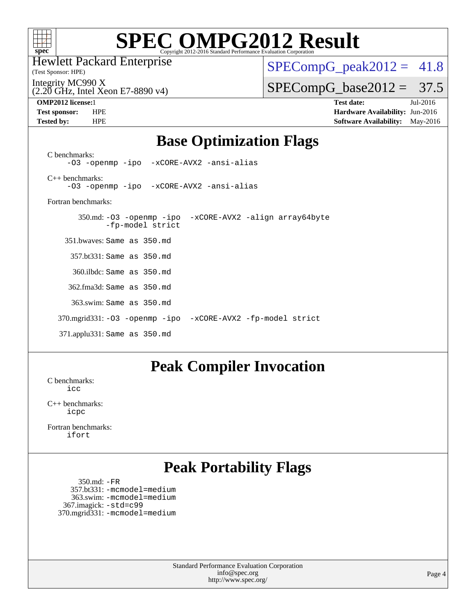

Hewlett Packard Enterprise

(Test Sponsor: HPE)

 $SPECompG_peak2012 = 41.8$  $SPECompG_peak2012 = 41.8$ 

Integrity MC990 X

(2.20 GHz, Intel Xeon E7-8890 v4)

**[Tested by:](http://www.spec.org/auto/omp2012/Docs/result-fields.html#Testedby)** HPE **[Software Availability:](http://www.spec.org/auto/omp2012/Docs/result-fields.html#SoftwareAvailability)** May-2016

 $SPECompG_base2012 = 37.5$  $SPECompG_base2012 = 37.5$ **[OMP2012 license:](http://www.spec.org/auto/omp2012/Docs/result-fields.html#OMP2012license)**1 **[Test date:](http://www.spec.org/auto/omp2012/Docs/result-fields.html#Testdate)** Jul-2016 **[Test sponsor:](http://www.spec.org/auto/omp2012/Docs/result-fields.html#Testsponsor)** HPE **[Hardware Availability:](http://www.spec.org/auto/omp2012/Docs/result-fields.html#HardwareAvailability)** Jun-2016

### **[Base Optimization Flags](http://www.spec.org/auto/omp2012/Docs/result-fields.html#BaseOptimizationFlags)**

[C benchmarks](http://www.spec.org/auto/omp2012/Docs/result-fields.html#Cbenchmarks): [-O3](http://www.spec.org/omp2012/results/res2016q3/omp2012-20160718-00079.flags.html#user_CCbase_f-O3) [-openmp](http://www.spec.org/omp2012/results/res2016q3/omp2012-20160718-00079.flags.html#user_CCbase_f-openmp) [-ipo](http://www.spec.org/omp2012/results/res2016q3/omp2012-20160718-00079.flags.html#user_CCbase_f-ipo_84062ab53814f613187d02344b8f49a7) [-xCORE-AVX2](http://www.spec.org/omp2012/results/res2016q3/omp2012-20160718-00079.flags.html#user_CCbase_f-xAVX2_5f5fc0cbe2c9f62c816d3e45806c70d7) [-ansi-alias](http://www.spec.org/omp2012/results/res2016q3/omp2012-20160718-00079.flags.html#user_CCbase_f-ansi-alias) [C++ benchmarks:](http://www.spec.org/auto/omp2012/Docs/result-fields.html#CXXbenchmarks) [-O3](http://www.spec.org/omp2012/results/res2016q3/omp2012-20160718-00079.flags.html#user_CXXbase_f-O3) [-openmp](http://www.spec.org/omp2012/results/res2016q3/omp2012-20160718-00079.flags.html#user_CXXbase_f-openmp) [-ipo](http://www.spec.org/omp2012/results/res2016q3/omp2012-20160718-00079.flags.html#user_CXXbase_f-ipo_84062ab53814f613187d02344b8f49a7) [-xCORE-AVX2](http://www.spec.org/omp2012/results/res2016q3/omp2012-20160718-00079.flags.html#user_CXXbase_f-xAVX2_5f5fc0cbe2c9f62c816d3e45806c70d7) [-ansi-alias](http://www.spec.org/omp2012/results/res2016q3/omp2012-20160718-00079.flags.html#user_CXXbase_f-ansi-alias) [Fortran benchmarks](http://www.spec.org/auto/omp2012/Docs/result-fields.html#Fortranbenchmarks): 350.md: [-O3](http://www.spec.org/omp2012/results/res2016q3/omp2012-20160718-00079.flags.html#user_baseOPTIMIZE350_md_f-O3) [-openmp](http://www.spec.org/omp2012/results/res2016q3/omp2012-20160718-00079.flags.html#user_baseOPTIMIZE350_md_f-openmp) [-ipo](http://www.spec.org/omp2012/results/res2016q3/omp2012-20160718-00079.flags.html#user_baseOPTIMIZE350_md_f-ipo_84062ab53814f613187d02344b8f49a7) [-xCORE-AVX2](http://www.spec.org/omp2012/results/res2016q3/omp2012-20160718-00079.flags.html#user_baseOPTIMIZE350_md_f-xAVX2_5f5fc0cbe2c9f62c816d3e45806c70d7) [-align array64byte](http://www.spec.org/omp2012/results/res2016q3/omp2012-20160718-00079.flags.html#user_baseFOPTIMIZE350_md_f-align_c9377f996e966d652baaf753401d4725) [-fp-model strict](http://www.spec.org/omp2012/results/res2016q3/omp2012-20160718-00079.flags.html#user_baseFOPTIMIZE350_md_f-fp-model_aee965c1c69e9213783f4e8f5bf0a1d3) 351.bwaves: Same as 350.md 357.bt331: Same as 350.md 360.ilbdc: Same as 350.md 362.fma3d: Same as 350.md 363.swim: Same as 350.md 370.mgrid331: [-O3](http://www.spec.org/omp2012/results/res2016q3/omp2012-20160718-00079.flags.html#user_baseOPTIMIZE370_mgrid331_f-O3) [-openmp](http://www.spec.org/omp2012/results/res2016q3/omp2012-20160718-00079.flags.html#user_baseOPTIMIZE370_mgrid331_f-openmp) [-ipo](http://www.spec.org/omp2012/results/res2016q3/omp2012-20160718-00079.flags.html#user_baseOPTIMIZE370_mgrid331_f-ipo_84062ab53814f613187d02344b8f49a7) [-xCORE-AVX2](http://www.spec.org/omp2012/results/res2016q3/omp2012-20160718-00079.flags.html#user_baseOPTIMIZE370_mgrid331_f-xAVX2_5f5fc0cbe2c9f62c816d3e45806c70d7) [-fp-model strict](http://www.spec.org/omp2012/results/res2016q3/omp2012-20160718-00079.flags.html#user_baseFOPTIMIZE370_mgrid331_f-fp-model_aee965c1c69e9213783f4e8f5bf0a1d3) 371.applu331: Same as 350.md

#### **[Peak Compiler Invocation](http://www.spec.org/auto/omp2012/Docs/result-fields.html#PeakCompilerInvocation)**

[C benchmarks](http://www.spec.org/auto/omp2012/Docs/result-fields.html#Cbenchmarks): [icc](http://www.spec.org/omp2012/results/res2016q3/omp2012-20160718-00079.flags.html#user_CCpeak_intel_icc_a87c68a857bc5ec5362391a49d3a37a6)

[C++ benchmarks:](http://www.spec.org/auto/omp2012/Docs/result-fields.html#CXXbenchmarks) [icpc](http://www.spec.org/omp2012/results/res2016q3/omp2012-20160718-00079.flags.html#user_CXXpeak_intel_icpc_2d899f8d163502b12eb4a60069f80c1c)

[Fortran benchmarks](http://www.spec.org/auto/omp2012/Docs/result-fields.html#Fortranbenchmarks): [ifort](http://www.spec.org/omp2012/results/res2016q3/omp2012-20160718-00079.flags.html#user_FCpeak_intel_ifort_8a5e5e06b19a251bdeaf8fdab5d62f20)

## **[Peak Portability Flags](http://www.spec.org/auto/omp2012/Docs/result-fields.html#PeakPortabilityFlags)**

```
 350.md: -FR
   357.bt331: -mcmodel=medium
   363.swim: -mcmodel=medium
 367.imagick: -std=c99
370.mgrid331: -mcmodel=medium
```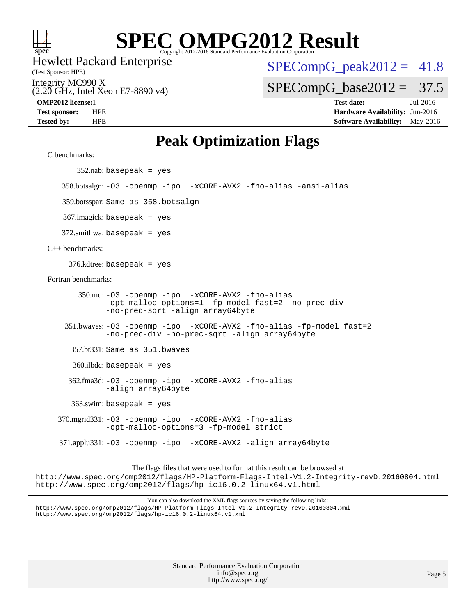

Hewlett Packard Enterprise

(Test Sponsor: HPE)

 $SPECompG_peak2012 = 41.8$  $SPECompG_peak2012 = 41.8$ 

Integrity MC990 X

(2.20 GHz, Intel Xeon E7-8890 v4)

**[Tested by:](http://www.spec.org/auto/omp2012/Docs/result-fields.html#Testedby)** HPE **[Software Availability:](http://www.spec.org/auto/omp2012/Docs/result-fields.html#SoftwareAvailability)** May-2016

 $SPECompG_base2012 = 37.5$  $SPECompG_base2012 = 37.5$ **[OMP2012 license:](http://www.spec.org/auto/omp2012/Docs/result-fields.html#OMP2012license)**1 **[Test date:](http://www.spec.org/auto/omp2012/Docs/result-fields.html#Testdate)** Jul-2016 **[Test sponsor:](http://www.spec.org/auto/omp2012/Docs/result-fields.html#Testsponsor)** HPE **[Hardware Availability:](http://www.spec.org/auto/omp2012/Docs/result-fields.html#HardwareAvailability)** Jun-2016

## **[Peak Optimization Flags](http://www.spec.org/auto/omp2012/Docs/result-fields.html#PeakOptimizationFlags)**

[C benchmarks](http://www.spec.org/auto/omp2012/Docs/result-fields.html#Cbenchmarks):

352.nab: basepeak = yes

358.botsalgn: [-O3](http://www.spec.org/omp2012/results/res2016q3/omp2012-20160718-00079.flags.html#user_peakOPTIMIZE358_botsalgn_f-O3) [-openmp](http://www.spec.org/omp2012/results/res2016q3/omp2012-20160718-00079.flags.html#user_peakOPTIMIZE358_botsalgn_f-openmp) [-ipo](http://www.spec.org/omp2012/results/res2016q3/omp2012-20160718-00079.flags.html#user_peakOPTIMIZE358_botsalgn_f-ipo_84062ab53814f613187d02344b8f49a7) [-xCORE-AVX2](http://www.spec.org/omp2012/results/res2016q3/omp2012-20160718-00079.flags.html#user_peakOPTIMIZE358_botsalgn_f-xAVX2_5f5fc0cbe2c9f62c816d3e45806c70d7) [-fno-alias](http://www.spec.org/omp2012/results/res2016q3/omp2012-20160718-00079.flags.html#user_peakOPTIMIZE358_botsalgn_f-no-alias_694e77f6c5a51e658e82ccff53a9e63a) [-ansi-alias](http://www.spec.org/omp2012/results/res2016q3/omp2012-20160718-00079.flags.html#user_peakCOPTIMIZE358_botsalgn_f-ansi-alias)

359.botsspar: Same as 358.botsalgn

367.imagick: basepeak = yes

372.smithwa: basepeak = yes

[C++ benchmarks:](http://www.spec.org/auto/omp2012/Docs/result-fields.html#CXXbenchmarks)

376.kdtree: basepeak = yes

[Fortran benchmarks](http://www.spec.org/auto/omp2012/Docs/result-fields.html#Fortranbenchmarks):

 350.md: [-O3](http://www.spec.org/omp2012/results/res2016q3/omp2012-20160718-00079.flags.html#user_peakOPTIMIZE350_md_f-O3) [-openmp](http://www.spec.org/omp2012/results/res2016q3/omp2012-20160718-00079.flags.html#user_peakOPTIMIZE350_md_f-openmp) [-ipo](http://www.spec.org/omp2012/results/res2016q3/omp2012-20160718-00079.flags.html#user_peakOPTIMIZE350_md_f-ipo_84062ab53814f613187d02344b8f49a7) [-xCORE-AVX2](http://www.spec.org/omp2012/results/res2016q3/omp2012-20160718-00079.flags.html#user_peakOPTIMIZE350_md_f-xAVX2_5f5fc0cbe2c9f62c816d3e45806c70d7) [-fno-alias](http://www.spec.org/omp2012/results/res2016q3/omp2012-20160718-00079.flags.html#user_peakOPTIMIZE350_md_f-no-alias_694e77f6c5a51e658e82ccff53a9e63a) [-opt-malloc-options=1](http://www.spec.org/omp2012/results/res2016q3/omp2012-20160718-00079.flags.html#user_peakOPTIMIZE350_md_f-opt-malloc-options_d882ffc6ff87e51efe45f9a5190004b0) [-fp-model fast=2](http://www.spec.org/omp2012/results/res2016q3/omp2012-20160718-00079.flags.html#user_peakFOPTIMIZE350_md_f-fp-model_a7fb8ccb7275e23f0079632c153cfcab) [-no-prec-div](http://www.spec.org/omp2012/results/res2016q3/omp2012-20160718-00079.flags.html#user_peakFOPTIMIZE350_md_f-no-prec-div) [-no-prec-sqrt](http://www.spec.org/omp2012/results/res2016q3/omp2012-20160718-00079.flags.html#user_peakFOPTIMIZE350_md_f-no-prec-sqrt) [-align array64byte](http://www.spec.org/omp2012/results/res2016q3/omp2012-20160718-00079.flags.html#user_peakFOPTIMIZE350_md_f-align_c9377f996e966d652baaf753401d4725)

 351.bwaves: [-O3](http://www.spec.org/omp2012/results/res2016q3/omp2012-20160718-00079.flags.html#user_peakOPTIMIZE351_bwaves_f-O3) [-openmp](http://www.spec.org/omp2012/results/res2016q3/omp2012-20160718-00079.flags.html#user_peakOPTIMIZE351_bwaves_f-openmp) [-ipo](http://www.spec.org/omp2012/results/res2016q3/omp2012-20160718-00079.flags.html#user_peakOPTIMIZE351_bwaves_f-ipo_84062ab53814f613187d02344b8f49a7) [-xCORE-AVX2](http://www.spec.org/omp2012/results/res2016q3/omp2012-20160718-00079.flags.html#user_peakOPTIMIZE351_bwaves_f-xAVX2_5f5fc0cbe2c9f62c816d3e45806c70d7) [-fno-alias](http://www.spec.org/omp2012/results/res2016q3/omp2012-20160718-00079.flags.html#user_peakOPTIMIZE351_bwaves_f-no-alias_694e77f6c5a51e658e82ccff53a9e63a) [-fp-model fast=2](http://www.spec.org/omp2012/results/res2016q3/omp2012-20160718-00079.flags.html#user_peakFOPTIMIZE351_bwaves_f-fp-model_a7fb8ccb7275e23f0079632c153cfcab) [-no-prec-div](http://www.spec.org/omp2012/results/res2016q3/omp2012-20160718-00079.flags.html#user_peakFOPTIMIZE351_bwaves_f-no-prec-div) [-no-prec-sqrt](http://www.spec.org/omp2012/results/res2016q3/omp2012-20160718-00079.flags.html#user_peakFOPTIMIZE351_bwaves_f-no-prec-sqrt) [-align array64byte](http://www.spec.org/omp2012/results/res2016q3/omp2012-20160718-00079.flags.html#user_peakFOPTIMIZE351_bwaves_f-align_c9377f996e966d652baaf753401d4725)

357.bt331: Same as 351.bwaves

360.ilbdc: basepeak = yes

 362.fma3d: [-O3](http://www.spec.org/omp2012/results/res2016q3/omp2012-20160718-00079.flags.html#user_peakOPTIMIZE362_fma3d_f-O3) [-openmp](http://www.spec.org/omp2012/results/res2016q3/omp2012-20160718-00079.flags.html#user_peakOPTIMIZE362_fma3d_f-openmp) [-ipo](http://www.spec.org/omp2012/results/res2016q3/omp2012-20160718-00079.flags.html#user_peakOPTIMIZE362_fma3d_f-ipo_84062ab53814f613187d02344b8f49a7) [-xCORE-AVX2](http://www.spec.org/omp2012/results/res2016q3/omp2012-20160718-00079.flags.html#user_peakOPTIMIZE362_fma3d_f-xAVX2_5f5fc0cbe2c9f62c816d3e45806c70d7) [-fno-alias](http://www.spec.org/omp2012/results/res2016q3/omp2012-20160718-00079.flags.html#user_peakOPTIMIZE362_fma3d_f-no-alias_694e77f6c5a51e658e82ccff53a9e63a) [-align array64byte](http://www.spec.org/omp2012/results/res2016q3/omp2012-20160718-00079.flags.html#user_peakFOPTIMIZE362_fma3d_f-align_c9377f996e966d652baaf753401d4725)

 $363$ .swim: basepeak = yes

 370.mgrid331: [-O3](http://www.spec.org/omp2012/results/res2016q3/omp2012-20160718-00079.flags.html#user_peakOPTIMIZE370_mgrid331_f-O3) [-openmp](http://www.spec.org/omp2012/results/res2016q3/omp2012-20160718-00079.flags.html#user_peakOPTIMIZE370_mgrid331_f-openmp) [-ipo](http://www.spec.org/omp2012/results/res2016q3/omp2012-20160718-00079.flags.html#user_peakOPTIMIZE370_mgrid331_f-ipo_84062ab53814f613187d02344b8f49a7) [-xCORE-AVX2](http://www.spec.org/omp2012/results/res2016q3/omp2012-20160718-00079.flags.html#user_peakOPTIMIZE370_mgrid331_f-xAVX2_5f5fc0cbe2c9f62c816d3e45806c70d7) [-fno-alias](http://www.spec.org/omp2012/results/res2016q3/omp2012-20160718-00079.flags.html#user_peakOPTIMIZE370_mgrid331_f-no-alias_694e77f6c5a51e658e82ccff53a9e63a) [-opt-malloc-options=3](http://www.spec.org/omp2012/results/res2016q3/omp2012-20160718-00079.flags.html#user_peakOPTIMIZE370_mgrid331_f-opt-malloc-options_13ab9b803cf986b4ee62f0a5998c2238) [-fp-model strict](http://www.spec.org/omp2012/results/res2016q3/omp2012-20160718-00079.flags.html#user_peakFOPTIMIZE370_mgrid331_f-fp-model_aee965c1c69e9213783f4e8f5bf0a1d3)

371.applu331: [-O3](http://www.spec.org/omp2012/results/res2016q3/omp2012-20160718-00079.flags.html#user_peakOPTIMIZE371_applu331_f-O3) [-openmp](http://www.spec.org/omp2012/results/res2016q3/omp2012-20160718-00079.flags.html#user_peakOPTIMIZE371_applu331_f-openmp) [-ipo](http://www.spec.org/omp2012/results/res2016q3/omp2012-20160718-00079.flags.html#user_peakOPTIMIZE371_applu331_f-ipo_84062ab53814f613187d02344b8f49a7) [-xCORE-AVX2](http://www.spec.org/omp2012/results/res2016q3/omp2012-20160718-00079.flags.html#user_peakOPTIMIZE371_applu331_f-xAVX2_5f5fc0cbe2c9f62c816d3e45806c70d7) [-align array64byte](http://www.spec.org/omp2012/results/res2016q3/omp2012-20160718-00079.flags.html#user_peakFOPTIMIZE371_applu331_f-align_c9377f996e966d652baaf753401d4725)

The flags files that were used to format this result can be browsed at

<http://www.spec.org/omp2012/flags/HP-Platform-Flags-Intel-V1.2-Integrity-revD.20160804.html> <http://www.spec.org/omp2012/flags/hp-ic16.0.2-linux64.v1.html>

You can also download the XML flags sources by saving the following links: <http://www.spec.org/omp2012/flags/HP-Platform-Flags-Intel-V1.2-Integrity-revD.20160804.xml> <http://www.spec.org/omp2012/flags/hp-ic16.0.2-linux64.v1.xml>